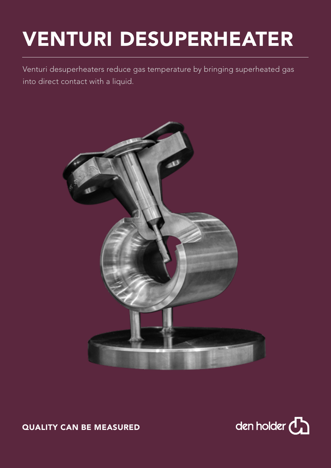## VENTURI DESUPERHEATER

Venturi desuperheaters reduce gas temperature by bringing superheated gas into direct contact with a liquid.





QUALITY CAN BE MEASURED